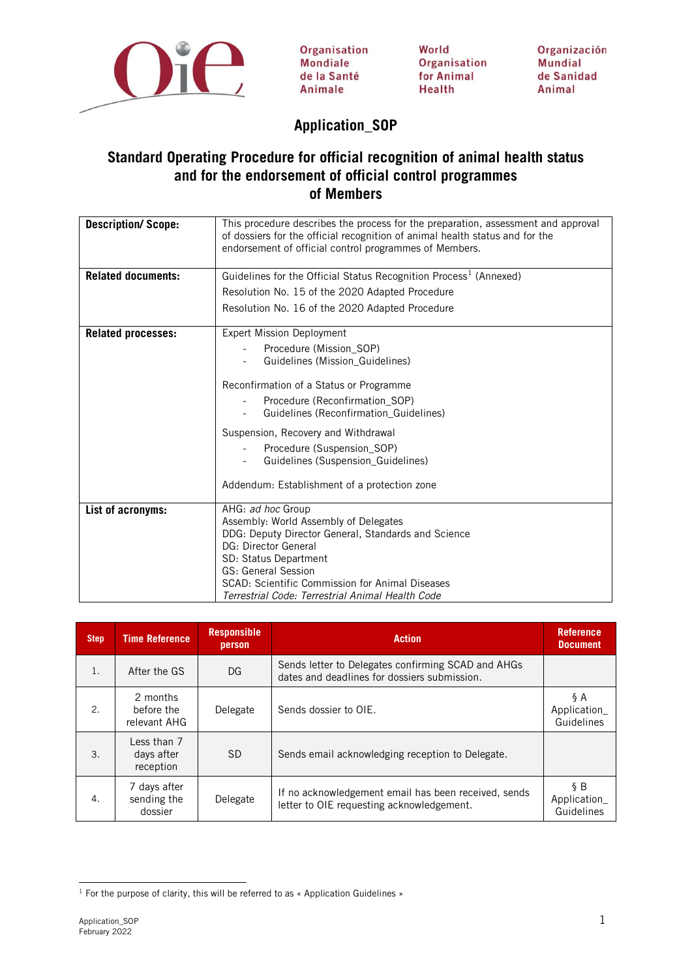

Organisation **Mondiale** de la Santé Animale

World Organisation for Animal **Health** 

Organización **Mundial** de Sanidad Animal

## **Application\_SOP**

## **Standard Operating Procedure for official recognition of animal health status and for the endorsement of official control programmes of Members**

| This procedure describes the process for the preparation, assessment and approval<br>of dossiers for the official recognition of animal health status and for the<br>endorsement of official control programmes of Members. |
|-----------------------------------------------------------------------------------------------------------------------------------------------------------------------------------------------------------------------------|
| Guidelines for the Official Status Recognition Process <sup>1</sup> (Annexed)                                                                                                                                               |
| Resolution No. 15 of the 2020 Adapted Procedure                                                                                                                                                                             |
| Resolution No. 16 of the 2020 Adapted Procedure                                                                                                                                                                             |
| <b>Expert Mission Deployment</b>                                                                                                                                                                                            |
| Procedure (Mission_SOP)                                                                                                                                                                                                     |
| Guidelines (Mission_Guidelines)                                                                                                                                                                                             |
| Reconfirmation of a Status or Programme                                                                                                                                                                                     |
| Procedure (Reconfirmation_SOP)                                                                                                                                                                                              |
| Guidelines (Reconfirmation Guidelines)                                                                                                                                                                                      |
| Suspension, Recovery and Withdrawal                                                                                                                                                                                         |
| Procedure (Suspension_SOP)                                                                                                                                                                                                  |
| Guidelines (Suspension Guidelines)                                                                                                                                                                                          |
| Addendum: Establishment of a protection zone                                                                                                                                                                                |
|                                                                                                                                                                                                                             |
| AHG: ad hoc Group                                                                                                                                                                                                           |
| Assembly: World Assembly of Delegates<br>DDG: Deputy Director General, Standards and Science                                                                                                                                |
| DG: Director General                                                                                                                                                                                                        |
| SD: Status Department                                                                                                                                                                                                       |
| GS: General Session                                                                                                                                                                                                         |
| SCAD: Scientific Commission for Animal Diseases<br>Terrestrial Code: Terrestrial Animal Health Code                                                                                                                         |
|                                                                                                                                                                                                                             |

| <b>Step</b> | <b>Time Reference</b>                  | <b>Responsible</b><br>person | <b>Action</b>                                                                                      | <b>Reference</b><br><b>Document</b> |
|-------------|----------------------------------------|------------------------------|----------------------------------------------------------------------------------------------------|-------------------------------------|
| 1.          | After the GS                           | DG                           | Sends letter to Delegates confirming SCAD and AHGs<br>dates and deadlines for dossiers submission. |                                     |
| 2.          | 2 months<br>before the<br>relevant AHG | Delegate                     | Sends dossier to OIE.                                                                              | ŞΑ<br>Application_<br>Guidelines    |
| 3.          | Less than 7<br>days after<br>reception | <b>SD</b>                    | Sends email acknowledging reception to Delegate.                                                   |                                     |
| 4.          | 7 days after<br>sending the<br>dossier | Delegate                     | If no acknowledgement email has been received, sends<br>letter to OIE requesting acknowledgement.  | §Β<br>Application_<br>Guidelines    |

<span id="page-0-0"></span><sup>&</sup>lt;sup>1</sup> For the purpose of clarity, this will be referred to as « Application Guidelines »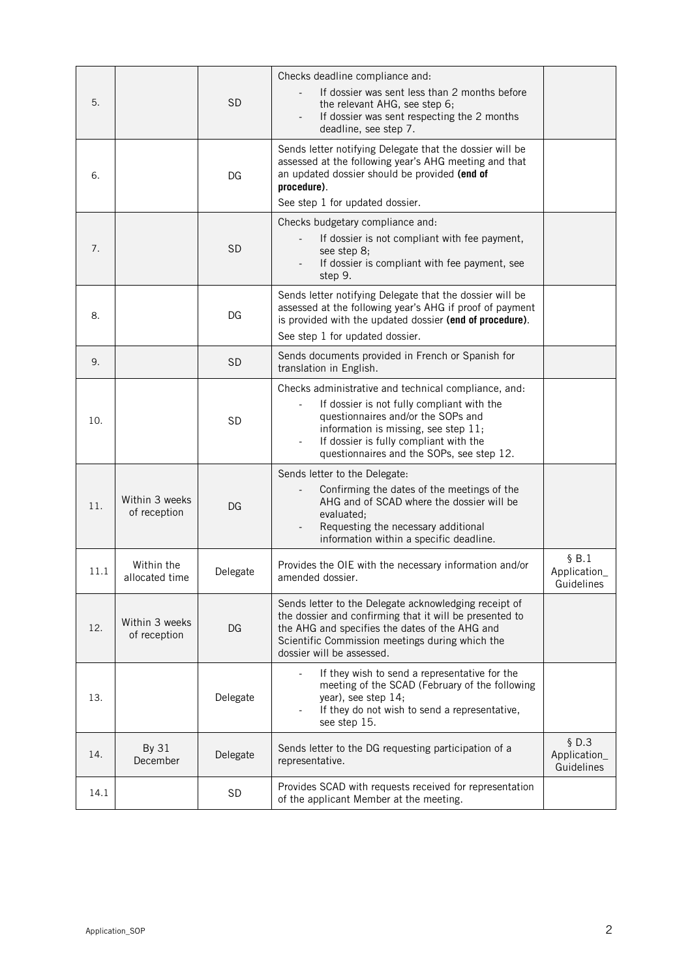| 5.   |                                | <b>SD</b> | Checks deadline compliance and:<br>If dossier was sent less than 2 months before<br>the relevant AHG, see step 6;<br>If dossier was sent respecting the 2 months<br>deadline, see step 7.                                                                               |                                     |
|------|--------------------------------|-----------|-------------------------------------------------------------------------------------------------------------------------------------------------------------------------------------------------------------------------------------------------------------------------|-------------------------------------|
| 6.   |                                | DG        | Sends letter notifying Delegate that the dossier will be<br>assessed at the following year's AHG meeting and that<br>an updated dossier should be provided (end of<br>procedure).<br>See step 1 for updated dossier.                                                    |                                     |
| 7.   |                                | <b>SD</b> | Checks budgetary compliance and:<br>If dossier is not compliant with fee payment,<br>see step 8;<br>If dossier is compliant with fee payment, see<br>step 9.                                                                                                            |                                     |
| 8.   |                                | DG        | Sends letter notifying Delegate that the dossier will be<br>assessed at the following year's AHG if proof of payment<br>is provided with the updated dossier (end of procedure).<br>See step 1 for updated dossier.                                                     |                                     |
| 9.   |                                | <b>SD</b> | Sends documents provided in French or Spanish for<br>translation in English.                                                                                                                                                                                            |                                     |
| 10.  |                                | <b>SD</b> | Checks administrative and technical compliance, and:<br>If dossier is not fully compliant with the<br>questionnaires and/or the SOPs and<br>information is missing, see step 11;<br>If dossier is fully compliant with the<br>questionnaires and the SOPs, see step 12. |                                     |
| 11.  | Within 3 weeks<br>of reception | DG        | Sends letter to the Delegate:<br>Confirming the dates of the meetings of the<br>AHG and of SCAD where the dossier will be<br>evaluated;<br>Requesting the necessary additional<br>information within a specific deadline.                                               |                                     |
| 11.1 | Within the<br>allocated time   | Delegate  | Provides the OIE with the necessary information and/or<br>amended dossier.                                                                                                                                                                                              | \$B.1<br>Application_<br>Guidelines |
| 12.  | Within 3 weeks<br>of reception | DG        | Sends letter to the Delegate acknowledging receipt of<br>the dossier and confirming that it will be presented to<br>the AHG and specifies the dates of the AHG and<br>Scientific Commission meetings during which the<br>dossier will be assessed.                      |                                     |
| 13.  |                                | Delegate  | If they wish to send a representative for the<br>meeting of the SCAD (February of the following<br>year), see step 14;<br>If they do not wish to send a representative,<br>see step 15.                                                                                 |                                     |
| 14.  | By 31<br>December              | Delegate  | Sends letter to the DG requesting participation of a<br>representative.                                                                                                                                                                                                 | \$D.3<br>Application_<br>Guidelines |
| 14.1 |                                | <b>SD</b> | Provides SCAD with requests received for representation<br>of the applicant Member at the meeting.                                                                                                                                                                      |                                     |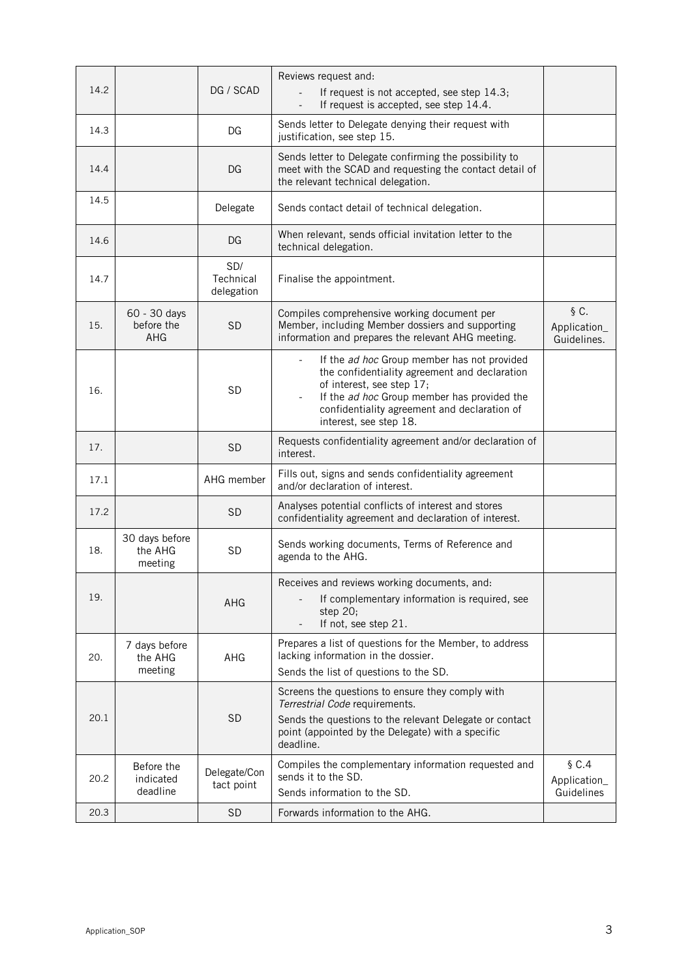| 14.2 |                                          | DG / SCAD                      | Reviews request and:<br>If request is not accepted, see step 14.3;<br>If request is accepted, see step 14.4.                                                                                                                                                   |                                     |
|------|------------------------------------------|--------------------------------|----------------------------------------------------------------------------------------------------------------------------------------------------------------------------------------------------------------------------------------------------------------|-------------------------------------|
| 14.3 |                                          | DG                             | Sends letter to Delegate denying their request with<br>justification, see step 15.                                                                                                                                                                             |                                     |
| 14.4 |                                          | DG                             | Sends letter to Delegate confirming the possibility to<br>meet with the SCAD and requesting the contact detail of<br>the relevant technical delegation.                                                                                                        |                                     |
| 14.5 |                                          | Delegate                       | Sends contact detail of technical delegation.                                                                                                                                                                                                                  |                                     |
| 14.6 |                                          | DG                             | When relevant, sends official invitation letter to the<br>technical delegation.                                                                                                                                                                                |                                     |
| 14.7 |                                          | SD/<br>Technical<br>delegation | Finalise the appointment.                                                                                                                                                                                                                                      |                                     |
| 15.  | 60 - 30 days<br>before the<br><b>AHG</b> | <b>SD</b>                      | Compiles comprehensive working document per<br>Member, including Member dossiers and supporting<br>information and prepares the relevant AHG meeting.                                                                                                          | §C.<br>Application_<br>Guidelines.  |
| 16.  |                                          | <b>SD</b>                      | If the ad hoc Group member has not provided<br>$\equiv$<br>the confidentiality agreement and declaration<br>of interest, see step 17;<br>If the ad hoc Group member has provided the<br>confidentiality agreement and declaration of<br>interest, see step 18. |                                     |
| 17.  |                                          | <b>SD</b>                      | Requests confidentiality agreement and/or declaration of<br>interest.                                                                                                                                                                                          |                                     |
| 17.1 |                                          | AHG member                     | Fills out, signs and sends confidentiality agreement<br>and/or declaration of interest.                                                                                                                                                                        |                                     |
| 17.2 |                                          | <b>SD</b>                      | Analyses potential conflicts of interest and stores<br>confidentiality agreement and declaration of interest.                                                                                                                                                  |                                     |
| 18.  | 30 days before<br>the AHG<br>meeting     | <b>SD</b>                      | Sends working documents, Terms of Reference and<br>agenda to the AHG.                                                                                                                                                                                          |                                     |
| 19.  |                                          | AHG                            | Receives and reviews working documents, and:<br>If complementary information is required, see<br>step $20$ ;<br>If not, see step 21.                                                                                                                           |                                     |
| 20.  | 7 days before<br>the AHG<br>meeting      | AHG                            | Prepares a list of questions for the Member, to address<br>lacking information in the dossier.<br>Sends the list of questions to the SD.                                                                                                                       |                                     |
| 20.1 |                                          | <b>SD</b>                      | Screens the questions to ensure they comply with<br>Terrestrial Code requirements.<br>Sends the questions to the relevant Delegate or contact<br>point (appointed by the Delegate) with a specific<br>deadline.                                                |                                     |
| 20.2 | Before the<br>indicated<br>deadline      | Delegate/Con<br>tact point     | Compiles the complementary information requested and<br>sends it to the SD.<br>Sends information to the SD.                                                                                                                                                    | \$C.4<br>Application_<br>Guidelines |
| 20.3 |                                          | <b>SD</b>                      | Forwards information to the AHG.                                                                                                                                                                                                                               |                                     |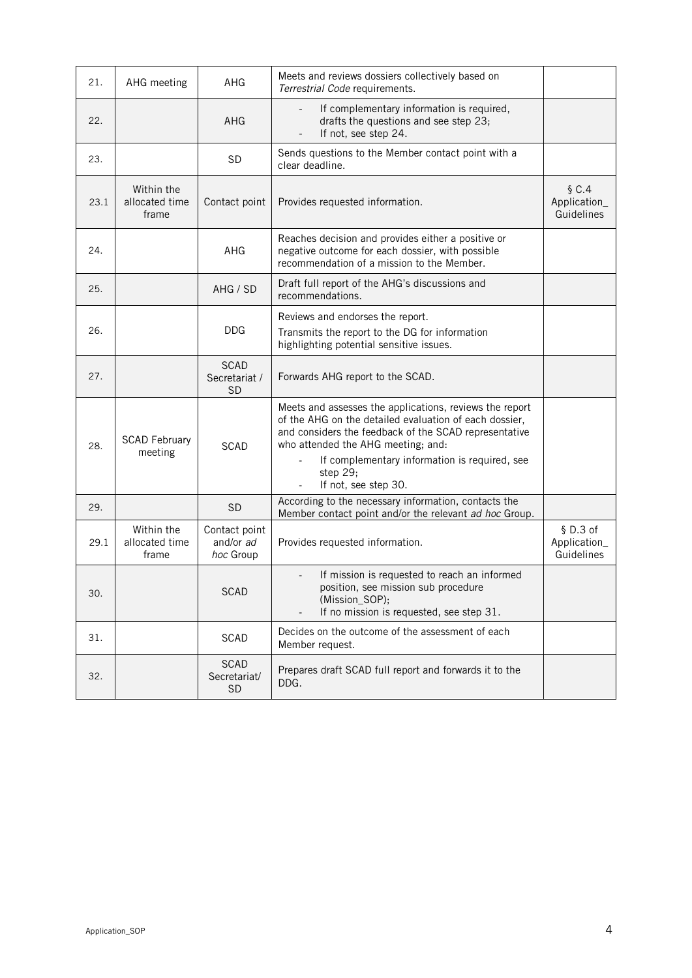| 21.  | AHG meeting                           | AHG                                       | Meets and reviews dossiers collectively based on<br>Terrestrial Code requirements.                                                                                                                                                                                            |                                        |
|------|---------------------------------------|-------------------------------------------|-------------------------------------------------------------------------------------------------------------------------------------------------------------------------------------------------------------------------------------------------------------------------------|----------------------------------------|
| 22.  |                                       | AHG                                       | If complementary information is required,<br>drafts the questions and see step 23;<br>If not, see step 24.                                                                                                                                                                    |                                        |
| 23.  |                                       | <b>SD</b>                                 | Sends questions to the Member contact point with a<br>clear deadline.                                                                                                                                                                                                         |                                        |
| 23.1 | Within the<br>allocated time<br>frame | Contact point                             | Provides requested information.                                                                                                                                                                                                                                               | $\S C.4$<br>Application_<br>Guidelines |
| 24.  |                                       | AHG                                       | Reaches decision and provides either a positive or<br>negative outcome for each dossier, with possible<br>recommendation of a mission to the Member.                                                                                                                          |                                        |
| 25.  |                                       | AHG / SD                                  | Draft full report of the AHG's discussions and<br>recommendations.                                                                                                                                                                                                            |                                        |
| 26.  |                                       | <b>DDG</b>                                | Reviews and endorses the report.<br>Transmits the report to the DG for information<br>highlighting potential sensitive issues.                                                                                                                                                |                                        |
| 27.  |                                       | <b>SCAD</b><br>Secretariat /<br><b>SD</b> | Forwards AHG report to the SCAD.                                                                                                                                                                                                                                              |                                        |
| 28.  | <b>SCAD February</b><br>meeting       | <b>SCAD</b>                               | Meets and assesses the applications, reviews the report<br>of the AHG on the detailed evaluation of each dossier,<br>and considers the feedback of the SCAD representative<br>who attended the AHG meeting; and:<br>If complementary information is required, see<br>step 29; |                                        |
| 29.  |                                       | <b>SD</b>                                 | If not, see step 30.<br>According to the necessary information, contacts the                                                                                                                                                                                                  |                                        |
|      |                                       |                                           | Member contact point and/or the relevant ad hoc Group.                                                                                                                                                                                                                        |                                        |
| 29.1 | Within the<br>allocated time<br>frame | Contact point<br>and/or ad<br>hoc Group   | Provides requested information.                                                                                                                                                                                                                                               | \$D.3 of<br>Application_<br>Guidelines |
| 30.  |                                       | <b>SCAD</b>                               | If mission is requested to reach an informed<br>position, see mission sub procedure<br>(Mission_SOP);<br>If no mission is requested, see step 31.                                                                                                                             |                                        |
| 31.  |                                       | SCAD                                      | Decides on the outcome of the assessment of each<br>Member request.                                                                                                                                                                                                           |                                        |
| 32.  |                                       | <b>SCAD</b><br>Secretariat/<br><b>SD</b>  | Prepares draft SCAD full report and forwards it to the<br>DDG.                                                                                                                                                                                                                |                                        |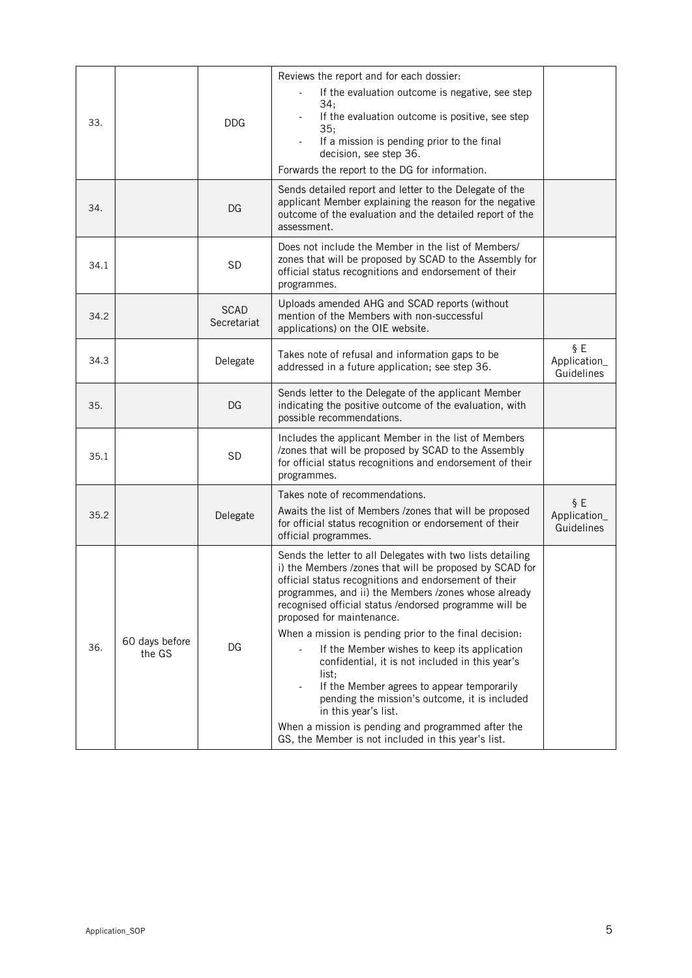| 33.  |                          | <b>DDG</b>                 | Reviews the report and for each dossier:<br>If the evaluation outcome is negative, see step<br>34;<br>If the evaluation outcome is positive, see step<br>35:<br>If a mission is pending prior to the final<br>decision, see step 36.<br>Forwards the report to the DG for information.                                                                                                                                                                                                                                                                                                                                                                                                                                                  |                                   |
|------|--------------------------|----------------------------|-----------------------------------------------------------------------------------------------------------------------------------------------------------------------------------------------------------------------------------------------------------------------------------------------------------------------------------------------------------------------------------------------------------------------------------------------------------------------------------------------------------------------------------------------------------------------------------------------------------------------------------------------------------------------------------------------------------------------------------------|-----------------------------------|
| 34.  |                          | DG                         | Sends detailed report and letter to the Delegate of the<br>applicant Member explaining the reason for the negative<br>outcome of the evaluation and the detailed report of the<br>assessment.                                                                                                                                                                                                                                                                                                                                                                                                                                                                                                                                           |                                   |
| 34.1 |                          | <b>SD</b>                  | Does not include the Member in the list of Members/<br>zones that will be proposed by SCAD to the Assembly for<br>official status recognitions and endorsement of their<br>programmes.                                                                                                                                                                                                                                                                                                                                                                                                                                                                                                                                                  |                                   |
| 34.2 |                          | <b>SCAD</b><br>Secretariat | Uploads amended AHG and SCAD reports (without<br>mention of the Members with non-successful<br>applications) on the OIE website.                                                                                                                                                                                                                                                                                                                                                                                                                                                                                                                                                                                                        |                                   |
| 34.3 |                          | Delegate                   | Takes note of refusal and information gaps to be<br>addressed in a future application; see step 36.                                                                                                                                                                                                                                                                                                                                                                                                                                                                                                                                                                                                                                     | §E<br>Application_<br>Guidelines  |
| 35.  |                          | DG                         | Sends letter to the Delegate of the applicant Member<br>indicating the positive outcome of the evaluation, with<br>possible recommendations.                                                                                                                                                                                                                                                                                                                                                                                                                                                                                                                                                                                            |                                   |
| 35.1 |                          | <b>SD</b>                  | Includes the applicant Member in the list of Members<br>/zones that will be proposed by SCAD to the Assembly<br>for official status recognitions and endorsement of their<br>programmes.                                                                                                                                                                                                                                                                                                                                                                                                                                                                                                                                                |                                   |
| 35.2 |                          | Delegate                   | Takes note of recommendations.<br>Awaits the list of Members /zones that will be proposed<br>for official status recognition or endorsement of their<br>official programmes.                                                                                                                                                                                                                                                                                                                                                                                                                                                                                                                                                            | § E<br>Application_<br>Guidelines |
| 36.  | 60 days before<br>the GS | DG                         | Sends the letter to all Delegates with two lists detailing<br>i) the Members /zones that will be proposed by SCAD for<br>official status recognitions and endorsement of their<br>programmes, and ii) the Members /zones whose already<br>recognised official status /endorsed programme will be<br>proposed for maintenance.<br>When a mission is pending prior to the final decision:<br>If the Member wishes to keep its application<br>confidential, it is not included in this year's<br>list;<br>If the Member agrees to appear temporarily<br>pending the mission's outcome, it is included<br>in this year's list.<br>When a mission is pending and programmed after the<br>GS, the Member is not included in this year's list. |                                   |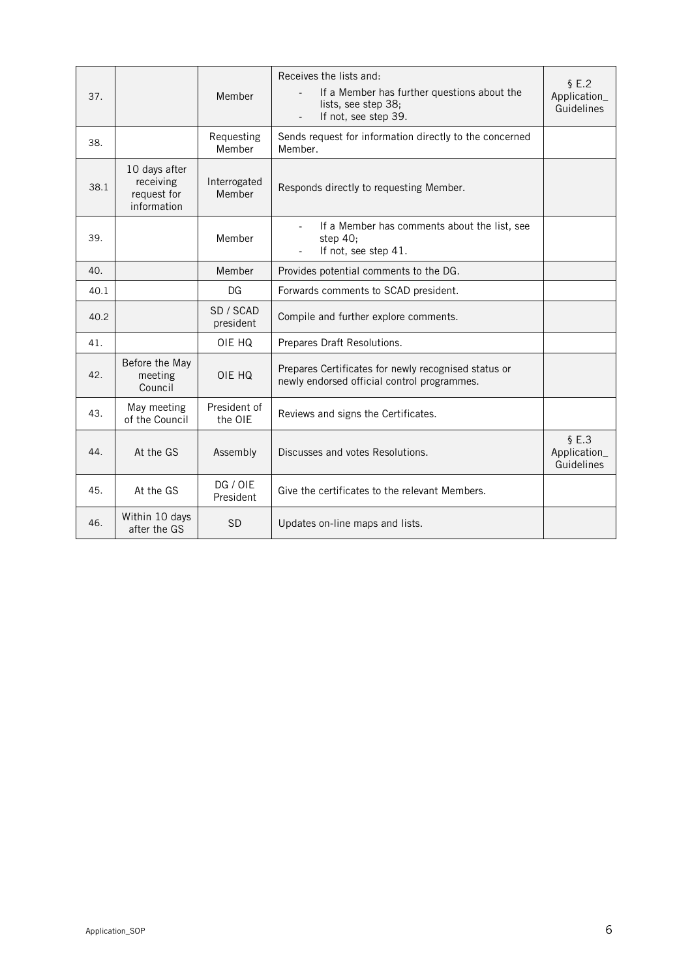|                                                          | Member                  | Receives the lists and:<br>\$E.2<br>If a Member has further questions about the<br>Application_<br>lists, see step 38;<br>Guidelines<br>If not, see step 39.<br>$\overline{\phantom{a}}$ |                                     |
|----------------------------------------------------------|-------------------------|------------------------------------------------------------------------------------------------------------------------------------------------------------------------------------------|-------------------------------------|
|                                                          | Requesting<br>Member    | Sends request for information directly to the concerned<br>Member.                                                                                                                       |                                     |
| 10 days after<br>receiving<br>request for<br>information | Interrogated<br>Member  | Responds directly to requesting Member.                                                                                                                                                  |                                     |
|                                                          | Member                  | If a Member has comments about the list, see<br>step $40:$<br>If not, see step 41.                                                                                                       |                                     |
|                                                          | Member                  | Provides potential comments to the DG.                                                                                                                                                   |                                     |
|                                                          | DG                      | Forwards comments to SCAD president.                                                                                                                                                     |                                     |
|                                                          | SD / SCAD<br>president  | Compile and further explore comments.                                                                                                                                                    |                                     |
|                                                          | OIE HQ                  | Prepares Draft Resolutions.                                                                                                                                                              |                                     |
| Before the May<br>meeting<br>Council                     | OIE HQ                  | Prepares Certificates for newly recognised status or<br>newly endorsed official control programmes.                                                                                      |                                     |
| May meeting<br>of the Council                            | President of<br>the OIE | Reviews and signs the Certificates.                                                                                                                                                      |                                     |
| At the GS                                                | Assembly                | Discusses and votes Resolutions.                                                                                                                                                         | \$E.3<br>Application_<br>Guidelines |
| At the GS                                                | DG / OIE<br>President   | Give the certificates to the relevant Members.                                                                                                                                           |                                     |
| Within 10 days<br>after the GS                           | <b>SD</b>               | Updates on-line maps and lists.                                                                                                                                                          |                                     |
|                                                          |                         |                                                                                                                                                                                          |                                     |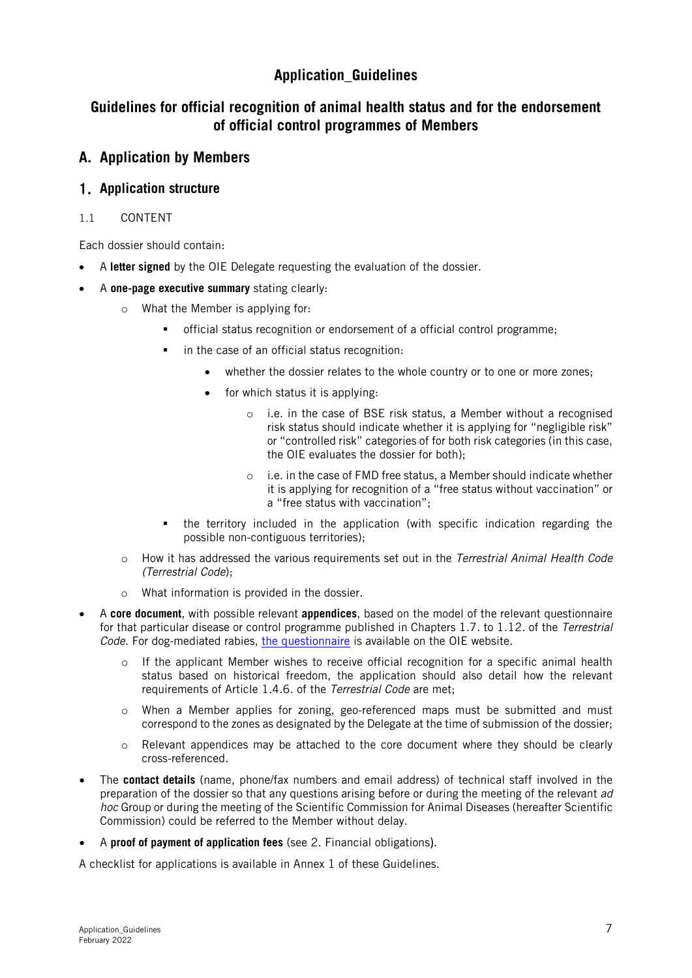## **Application\_Guidelines**

## **Guidelines for official recognition of animal health status and for the endorsement of official control programmes of Members**

## **A. Application by Members**

## **Application structure**

## 1.1 CONTENT

Each dossier should contain:

- A **letter signed** by the OIE Delegate requesting the evaluation of the dossier.
- A **one-page executive summary** stating clearly:
	- o What the Member is applying for:
		- official status recognition or endorsement of a official control programme;
		- **i** in the case of an official status recognition:
			- whether the dossier relates to the whole country or to one or more zones;
			- for which status it is applying.
				- o i.e. in the case of BSE risk status, a Member without a recognised risk status should indicate whether it is applying for "negligible risk" or "controlled risk" categories of for both risk categories (in this case, the OIE evaluates the dossier for both);
				- o i.e. in the case of FMD free status, a Member should indicate whether it is applying for recognition of a "free status without vaccination" or a "free status with vaccination";
		- the territory included in the application (with specific indication regarding the possible non-contiguous territories);
	- o How it has addressed the various requirements set out in the Terrestrial Animal Health Code (Terrestrial Code);
	- o What information is provided in the dossier.
- A **core document**, with possible relevant **appendices**, based on the model of the relevant questionnaire for that particular disease or control programme published in Chapters 1.7. to 1.12. of the Terrestrial Code. For dog-mediated rabies, [the questionnaire](https://www.oie.int/app/uploads/2021/05/a-questionnaire-dog-mediated-rabies.docx) is available on the OIE website.
	- o If the applicant Member wishes to receive official recognition for a specific animal health status based on historical freedom, the application should also detail how the relevant requirements of Article 1.4.6. of the Terrestrial Code are met;
	- o When a Member applies for zoning, geo-referenced maps must be submitted and must correspond to the zones as designated by the Delegate at the time of submission of the dossier;
	- o Relevant appendices may be attached to the core document where they should be clearly cross-referenced.
- The **contact details** (name, phone/fax numbers and email address) of technical staff involved in the preparation of the dossier so that any questions arising before or during the meeting of the relevant ad hoc Group or during the meeting of the Scientific Commission for Animal Diseases (hereafter Scientific Commission) could be referred to the Member without delay.
- A **proof of payment of application fees** (see 2. Financial obligations).

A checklist for applications is available in Annex 1 of these Guidelines.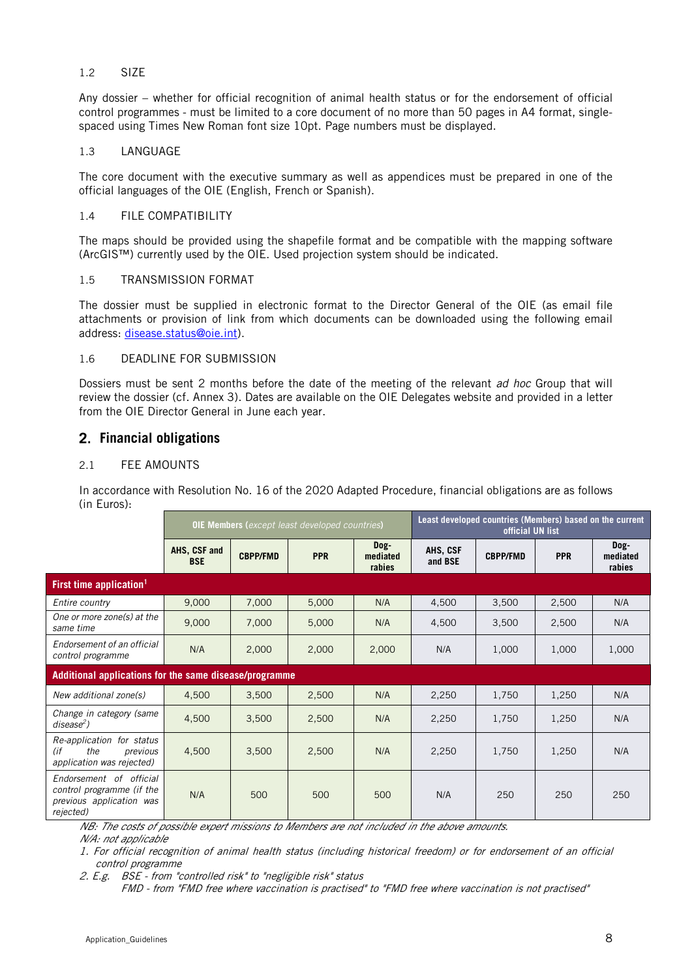### 1.2 SIZE

Any dossier – whether for official recognition of animal health status or for the endorsement of official control programmes - must be limited to a core document of no more than 50 pages in A4 format, singlespaced using Times New Roman font size 10pt. Page numbers must be displayed.

#### 1.3 LANGUAGE

The core document with the executive summary as well as appendices must be prepared in one of the official languages of the OIE (English, French or Spanish).

#### 1.4 FILE COMPATIBILITY

The maps should be provided using the shapefile format and be compatible with the mapping software (ArcGIS™) currently used by the OIE. Used projection system should be indicated.

#### 1.5 TRANSMISSION FORMAT

The dossier must be supplied in electronic format to the Director General of the OIE (as email file attachments or provision of link from which documents can be downloaded using the following email address: [disease.status@oie.int\)](mailto:disease.status@oie.int).

#### 1.6 DEADLINE FOR SUBMISSION

Dossiers must be sent 2 months before the date of the meeting of the relevant ad hoc Group that will review the dossier (cf. Annex 3). Dates are available on the OIE Delegates website and provided in a letter from the OIE Director General in June each year.

## **Financial obligations**

## 2.1 FEE AMOUNTS

In accordance with Resolution No. 16 of the 2020 Adapted Procedure, financial obligations are as follows (in Euros):

|                                                                                               | <b>OIE Members (except least developed countries)</b>  |                 |            |                            |                     | Least developed countries (Members) based on the current<br>official UN list |            |                            |
|-----------------------------------------------------------------------------------------------|--------------------------------------------------------|-----------------|------------|----------------------------|---------------------|------------------------------------------------------------------------------|------------|----------------------------|
|                                                                                               | AHS, CSF and<br><b>BSE</b>                             | <b>CBPP/FMD</b> | <b>PPR</b> | Dog-<br>mediated<br>rabies | AHS, CSF<br>and BSE | <b>CBPP/FMD</b>                                                              | <b>PPR</b> | Dog-<br>mediated<br>rabies |
| First time application <sup>1</sup>                                                           |                                                        |                 |            |                            |                     |                                                                              |            |                            |
| Entire country                                                                                | 9,000                                                  | 7,000           | 5,000      | N/A                        | 4,500               | 3,500                                                                        | 2,500      | N/A                        |
| One or more zone(s) at the<br>same time                                                       | 9,000                                                  | 7,000           | 5,000      | N/A                        | 4,500               | 3,500                                                                        | 2,500      | N/A                        |
| Endorsement of an official<br>control programme                                               | N/A                                                    | 2,000           | 2,000      | 2,000                      | N/A                 | 1,000                                                                        | 1,000      | 1,000                      |
|                                                                                               | Additional applications for the same disease/programme |                 |            |                            |                     |                                                                              |            |                            |
| New additional zone(s)                                                                        | 4,500                                                  | 3,500           | 2,500      | N/A                        | 2,250               | 1,750                                                                        | 1,250      | N/A                        |
| Change in category (same<br>$disease2$ )                                                      | 4,500                                                  | 3,500           | 2,500      | N/A                        | 2,250               | 1,750                                                                        | 1,250      | N/A                        |
| Re-application for status<br>(if<br>the<br>previous<br>application was rejected)              | 4,500                                                  | 3,500           | 2,500      | N/A                        | 2,250               | 1,750                                                                        | 1,250      | N/A                        |
| Endorsement of official<br>control programme (if the<br>previous application was<br>rejected) | N/A                                                    | 500             | 500        | 500                        | N/A                 | 250                                                                          | 250        | 250                        |

NB: The costs of possible expert missions to Members are not included in the above amounts.

N/A: not applicable

1. For official recognition of animal health status (including historical freedom) or for endorsement of an official control programme

2. E.g. BSE - from "controlled risk" to "negligible risk" status

FMD - from "FMD free where vaccination is practised" to "FMD free where vaccination is not practised"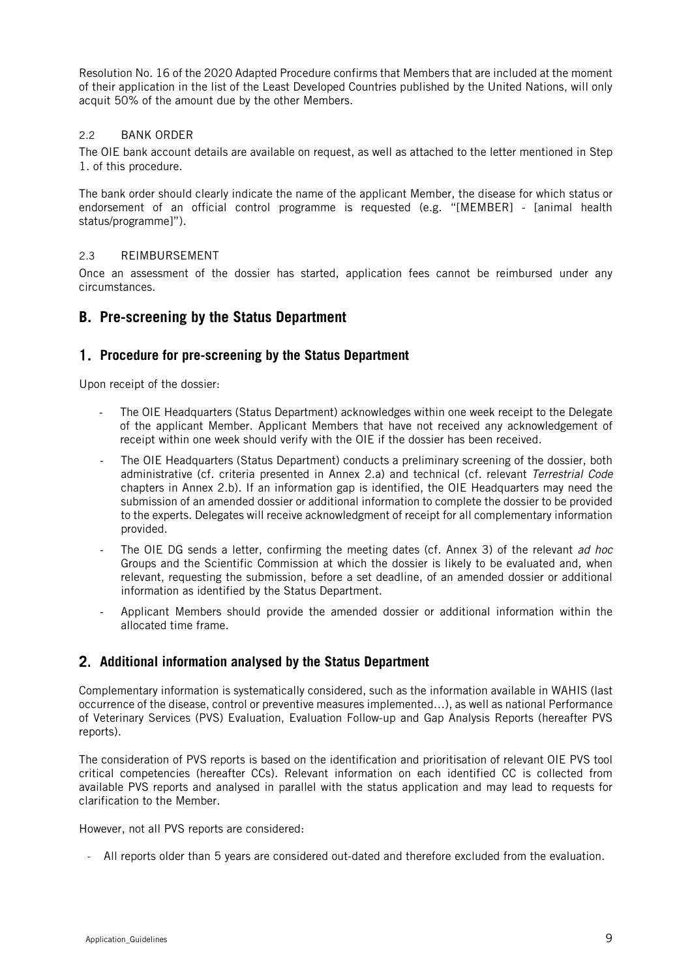Resolution No. 16 of the 2020 Adapted Procedure confirms that Members that are included at the moment of their application in the list of the Least Developed Countries published by the United Nations, will only acquit 50% of the amount due by the other Members.

## 2.2 BANK ORDER

The OIE bank account details are available on request, as well as attached to the letter mentioned in Step 1. of this procedure.

The bank order should clearly indicate the name of the applicant Member, the disease for which status or endorsement of an official control programme is requested (e.g. "[MEMBER] - [animal health status/programme]").

### 2.3 REIMBURSEMENT

Once an assessment of the dossier has started, application fees cannot be reimbursed under any circumstances.

## **B. Pre-screening by the Status Department**

## **Procedure for pre-screening by the Status Department**

Upon receipt of the dossier:

- The OIE Headquarters (Status Department) acknowledges within one week receipt to the Delegate of the applicant Member. Applicant Members that have not received any acknowledgement of receipt within one week should verify with the OIE if the dossier has been received.
- The OIE Headquarters (Status Department) conducts a preliminary screening of the dossier, both administrative (cf. criteria presented in Annex 2.a) and technical (cf. relevant Terrestrial Code chapters in Annex 2.b). If an information gap is identified, the OIE Headquarters may need the submission of an amended dossier or additional information to complete the dossier to be provided to the experts. Delegates will receive acknowledgment of receipt for all complementary information provided.
- The OIE DG sends a letter, confirming the meeting dates (cf. Annex 3) of the relevant ad hoc Groups and the Scientific Commission at which the dossier is likely to be evaluated and, when relevant, requesting the submission, before a set deadline, of an amended dossier or additional information as identified by the Status Department.
- Applicant Members should provide the amended dossier or additional information within the allocated time frame.

## **Additional information analysed by the Status Department**

Complementary information is systematically considered, such as the information available in WAHIS (last occurrence of the disease, control or preventive measures implemented…), as well as national Performance of Veterinary Services (PVS) Evaluation, Evaluation Follow-up and Gap Analysis Reports (hereafter PVS reports).

The consideration of PVS reports is based on the identification and prioritisation of relevant OIE PVS tool critical competencies (hereafter CCs). Relevant information on each identified CC is collected from available PVS reports and analysed in parallel with the status application and may lead to requests for clarification to the Member.

However, not all PVS reports are considered:

- All reports older than 5 years are considered out-dated and therefore excluded from the evaluation.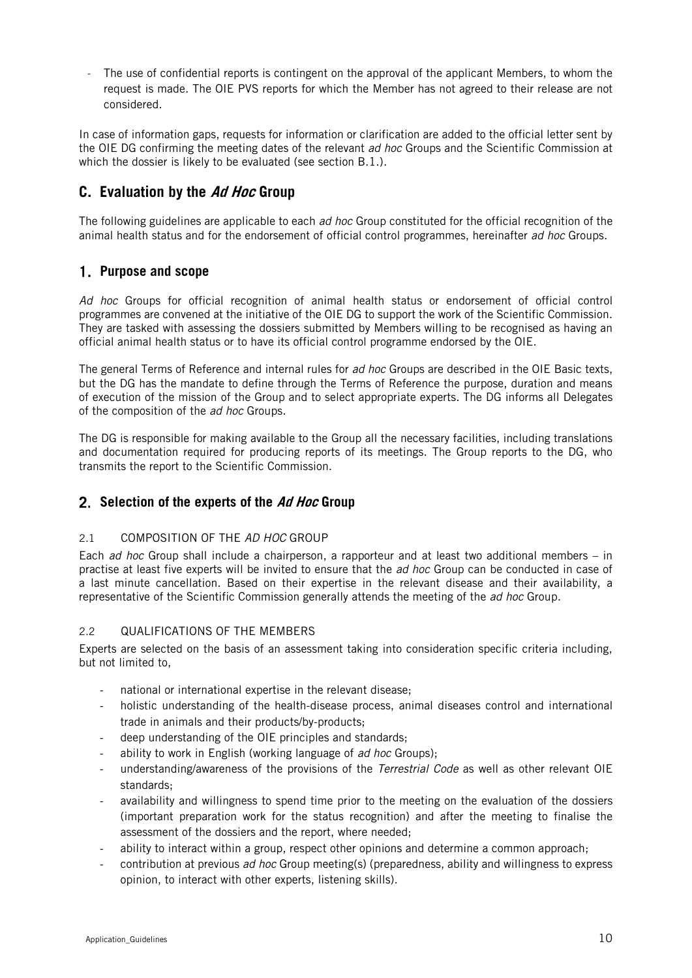- The use of confidential reports is contingent on the approval of the applicant Members, to whom the request is made. The OIE PVS reports for which the Member has not agreed to their release are not considered.

In case of information gaps, requests for information or clarification are added to the official letter sent by the OIE DG confirming the meeting dates of the relevant ad hoc Groups and the Scientific Commission at which the dossier is likely to be evaluated (see section B.1.).

## **C. Evaluation by the Ad Hoc Group**

The following guidelines are applicable to each ad hoc Group constituted for the official recognition of the animal health status and for the endorsement of official control programmes, hereinafter ad hoc Groups.

## **Purpose and scope**

Ad hoc Groups for official recognition of animal health status or endorsement of official control programmes are convened at the initiative of the OIE DG to support the work of the Scientific Commission. They are tasked with assessing the dossiers submitted by Members willing to be recognised as having an official animal health status or to have its official control programme endorsed by the OIE.

The general Terms of Reference and internal rules for ad hoc Groups are described in the OIE Basic texts, but the DG has the mandate to define through the Terms of Reference the purpose, duration and means of execution of the mission of the Group and to select appropriate experts. The DG informs all Delegates of the composition of the ad hoc Groups.

The DG is responsible for making available to the Group all the necessary facilities, including translations and documentation required for producing reports of its meetings. The Group reports to the DG, who transmits the report to the Scientific Commission.

## **Selection of the experts of the Ad Hoc Group**

### 2.1 COMPOSITION OF THE AD HOC GROUP

Each *ad hoc* Group shall include a chairperson, a rapporteur and at least two additional members – in practise at least five experts will be invited to ensure that the *ad hoc* Group can be conducted in case of a last minute cancellation. Based on their expertise in the relevant disease and their availability, a representative of the Scientific Commission generally attends the meeting of the *ad hoc* Group.

## 2.2 QUALIFICATIONS OF THE MEMBERS

Experts are selected on the basis of an assessment taking into consideration specific criteria including, but not limited to,

- national or international expertise in the relevant disease;
- holistic understanding of the health-disease process, animal diseases control and international trade in animals and their products/by-products;
- deep understanding of the OIE principles and standards;
- ability to work in English (working language of ad hoc Groups);
- understanding/awareness of the provisions of the Terrestrial Code as well as other relevant OIE standards;
- availability and willingness to spend time prior to the meeting on the evaluation of the dossiers (important preparation work for the status recognition) and after the meeting to finalise the assessment of the dossiers and the report, where needed;
- ability to interact within a group, respect other opinions and determine a common approach;
- contribution at previous *ad hoc* Group meeting(s) (preparedness, ability and willingness to express opinion, to interact with other experts, listening skills).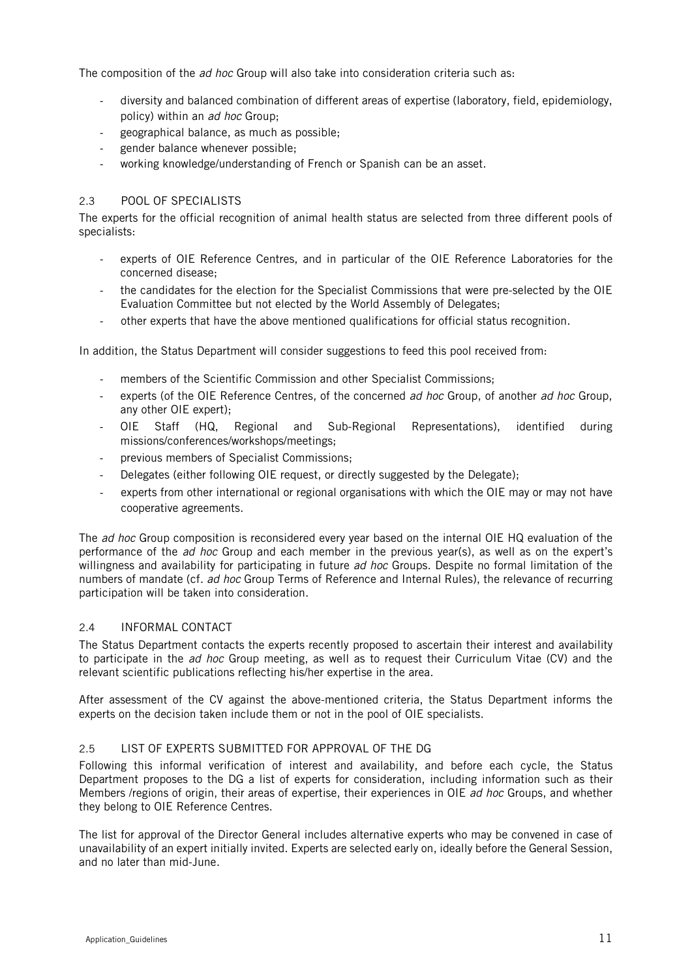The composition of the *ad hoc* Group will also take into consideration criteria such as:

- diversity and balanced combination of different areas of expertise (laboratory, field, epidemiology, policy) within an ad hoc Group;
- geographical balance, as much as possible;
- gender balance whenever possible;
- working knowledge/understanding of French or Spanish can be an asset.

## 2.3 POOL OF SPECIALISTS

The experts for the official recognition of animal health status are selected from three different pools of specialists:

- experts of OIE Reference Centres, and in particular of the OIE Reference Laboratories for the concerned disease;
- the candidates for the election for the Specialist Commissions that were pre-selected by the OIE Evaluation Committee but not elected by the World Assembly of Delegates;
- other experts that have the above mentioned qualifications for official status recognition.

In addition, the Status Department will consider suggestions to feed this pool received from:

- members of the Scientific Commission and other Specialist Commissions;
- experts (of the OIE Reference Centres, of the concerned ad hoc Group, of another ad hoc Group, any other OIE expert);
- OIE Staff (HQ, Regional and Sub-Regional Representations), identified during missions/conferences/workshops/meetings;
- previous members of Specialist Commissions;
- Delegates (either following OIE request, or directly suggested by the Delegate);
- experts from other international or regional organisations with which the OIE may or may not have cooperative agreements.

The ad hoc Group composition is reconsidered every year based on the internal OIE HQ evaluation of the performance of the ad hoc Group and each member in the previous year(s), as well as on the expert's willingness and availability for participating in future ad hoc Groups. Despite no formal limitation of the numbers of mandate (cf. ad hoc Group Terms of Reference and Internal Rules), the relevance of recurring participation will be taken into consideration.

### 2.4 INFORMAL CONTACT

The Status Department contacts the experts recently proposed to ascertain their interest and availability to participate in the ad hoc Group meeting, as well as to request their Curriculum Vitae (CV) and the relevant scientific publications reflecting his/her expertise in the area.

After assessment of the CV against the above-mentioned criteria, the Status Department informs the experts on the decision taken include them or not in the pool of OIE specialists.

## 2.5 LIST OF EXPERTS SUBMITTED FOR APPROVAL OF THE DG

Following this informal verification of interest and availability, and before each cycle, the Status Department proposes to the DG a list of experts for consideration, including information such as their Members /regions of origin, their areas of expertise, their experiences in OIE ad hoc Groups, and whether they belong to OIE Reference Centres.

The list for approval of the Director General includes alternative experts who may be convened in case of unavailability of an expert initially invited. Experts are selected early on, ideally before the General Session, and no later than mid-June.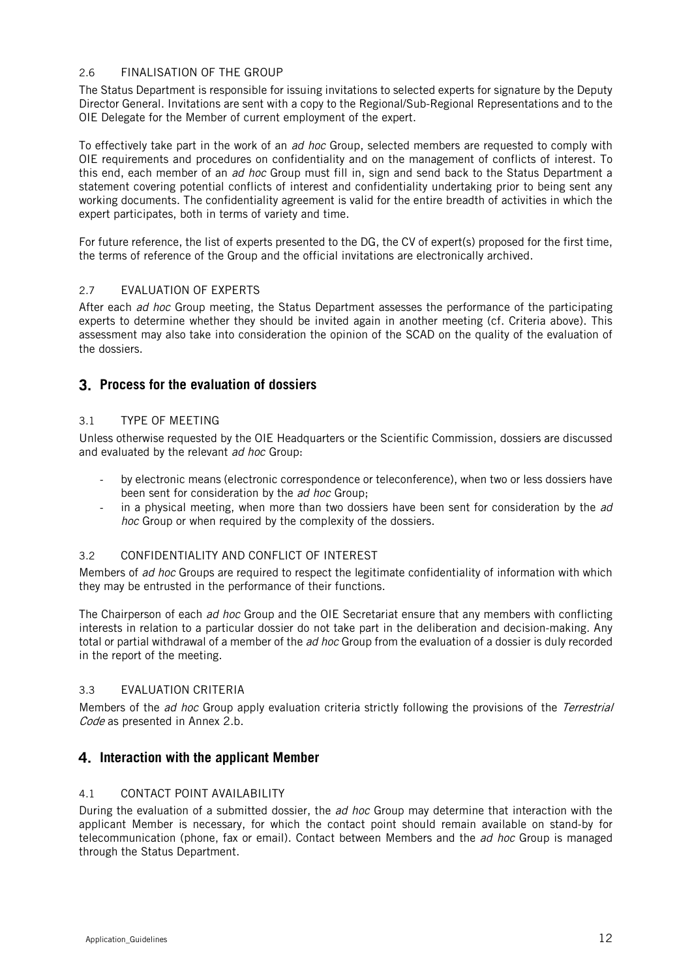### 2.6 FINALISATION OF THE GROUP

The Status Department is responsible for issuing invitations to selected experts for signature by the Deputy Director General. Invitations are sent with a copy to the Regional/Sub-Regional Representations and to the OIE Delegate for the Member of current employment of the expert.

To effectively take part in the work of an ad hoc Group, selected members are requested to comply with OIE requirements and procedures on confidentiality and on the management of conflicts of interest. To this end, each member of an *ad hoc* Group must fill in, sign and send back to the Status Department a statement covering potential conflicts of interest and confidentiality undertaking prior to being sent any working documents. The confidentiality agreement is valid for the entire breadth of activities in which the expert participates, both in terms of variety and time.

For future reference, the list of experts presented to the DG, the CV of expert(s) proposed for the first time, the terms of reference of the Group and the official invitations are electronically archived.

#### 2.7 EVALUATION OF EXPERTS

After each ad hoc Group meeting, the Status Department assesses the performance of the participating experts to determine whether they should be invited again in another meeting (cf. Criteria above). This assessment may also take into consideration the opinion of the SCAD on the quality of the evaluation of the dossiers.

## **Process for the evaluation of dossiers**

### 3.1 TYPE OF MEETING

Unless otherwise requested by the OIE Headquarters or the Scientific Commission, dossiers are discussed and evaluated by the relevant ad hoc Group:

- by electronic means (electronic correspondence or teleconference), when two or less dossiers have been sent for consideration by the ad hoc Group;
- in a physical meeting, when more than two dossiers have been sent for consideration by the  $ad$ hoc Group or when required by the complexity of the dossiers.

### 3.2 CONFIDENTIALITY AND CONFLICT OF INTEREST

Members of *ad hoc* Groups are required to respect the legitimate confidentiality of information with which they may be entrusted in the performance of their functions.

The Chairperson of each ad hoc Group and the OIE Secretariat ensure that any members with conflicting interests in relation to a particular dossier do not take part in the deliberation and decision-making. Any total or partial withdrawal of a member of the ad hoc Group from the evaluation of a dossier is duly recorded in the report of the meeting.

### 3.3 EVALUATION CRITERIA

Members of the *ad hoc* Group apply evaluation criteria strictly following the provisions of the *Terrestrial* Code as presented in Annex 2.b.

## **Interaction with the applicant Member**

## 4.1 CONTACT POINT AVAILABILITY

During the evaluation of a submitted dossier, the *ad hoc* Group may determine that interaction with the applicant Member is necessary, for which the contact point should remain available on stand-by for telecommunication (phone, fax or email). Contact between Members and the *ad hoc* Group is managed through the Status Department.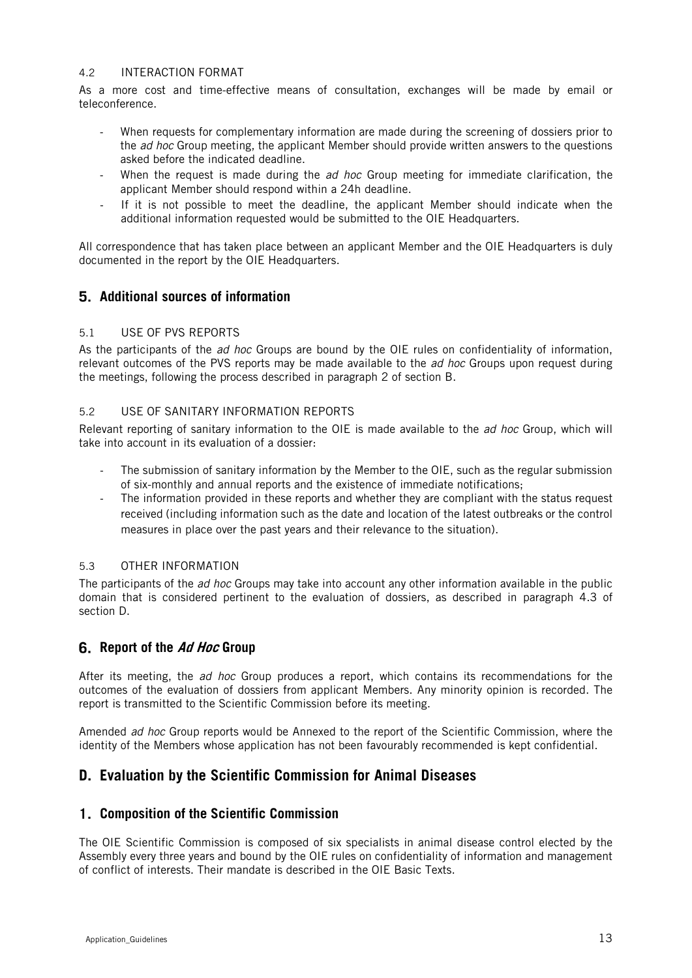#### 4.2 INTERACTION FORMAT

As a more cost and time-effective means of consultation, exchanges will be made by email or teleconference.

- When requests for complementary information are made during the screening of dossiers prior to the *ad hoc* Group meeting, the applicant Member should provide written answers to the questions asked before the indicated deadline.
- When the request is made during the *ad hoc* Group meeting for immediate clarification, the applicant Member should respond within a 24h deadline.
- If it is not possible to meet the deadline, the applicant Member should indicate when the additional information requested would be submitted to the OIE Headquarters.

All correspondence that has taken place between an applicant Member and the OIE Headquarters is duly documented in the report by the OIE Headquarters.

## **Additional sources of information**

### 5.1 USE OF PVS REPORTS

As the participants of the ad hoc Groups are bound by the OIE rules on confidentiality of information, relevant outcomes of the PVS reports may be made available to the *ad hoc* Groups upon request during the meetings, following the process described in paragraph 2 of section B.

## 5.2 USE OF SANITARY INFORMATION REPORTS

Relevant reporting of sanitary information to the OIE is made available to the *ad hoc* Group, which will take into account in its evaluation of a dossier:

- The submission of sanitary information by the Member to the OIE, such as the regular submission of six-monthly and annual reports and the existence of immediate notifications;
- The information provided in these reports and whether they are compliant with the status request received (including information such as the date and location of the latest outbreaks or the control measures in place over the past years and their relevance to the situation).

## 5.3 OTHER INFORMATION

The participants of the *ad hoc* Groups may take into account any other information available in the public domain that is considered pertinent to the evaluation of dossiers, as described in paragraph 4.3 of section D.

## **Report of the Ad Hoc Group**

After its meeting, the *ad hoc* Group produces a report, which contains its recommendations for the outcomes of the evaluation of dossiers from applicant Members. Any minority opinion is recorded. The report is transmitted to the Scientific Commission before its meeting.

Amended ad hoc Group reports would be Annexed to the report of the Scientific Commission, where the identity of the Members whose application has not been favourably recommended is kept confidential.

## **D. Evaluation by the Scientific Commission for Animal Diseases**

## **Composition of the Scientific Commission**

The OIE Scientific Commission is composed of six specialists in animal disease control elected by the Assembly every three years and bound by the OIE rules on confidentiality of information and management of conflict of interests. Their mandate is described in the OIE Basic Texts.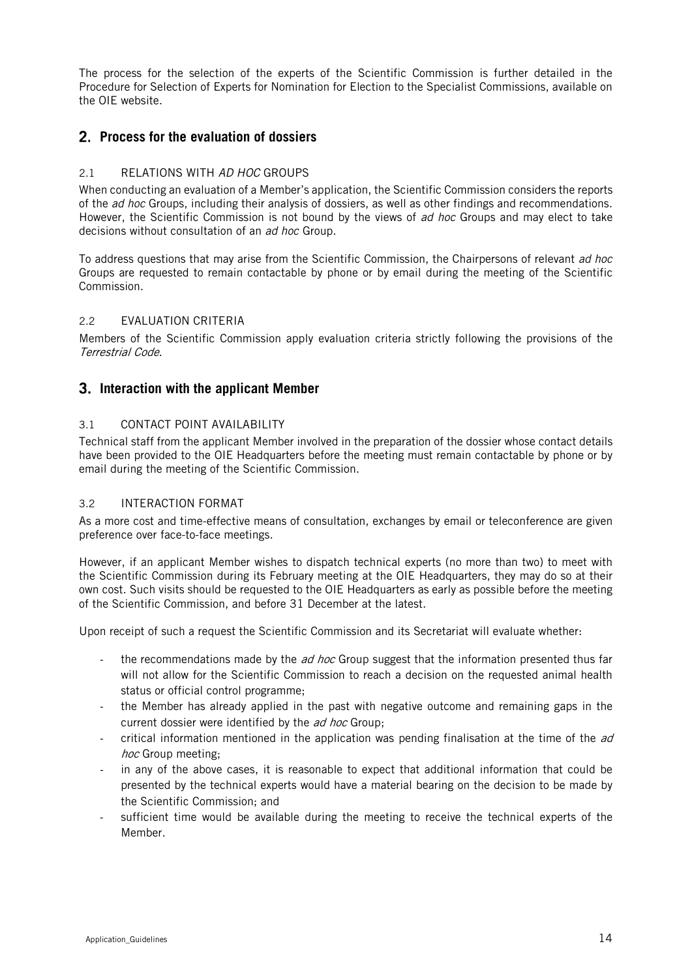The process for the selection of the experts of the Scientific Commission is further detailed in the Procedure for Selection of Experts for Nomination for Election to the Specialist Commissions, available on the OIE website.

## **Process for the evaluation of dossiers**

## 2.1 RELATIONS WITH AD HOC GROUPS

When conducting an evaluation of a Member's application, the Scientific Commission considers the reports of the *ad hoc* Groups, including their analysis of dossiers, as well as other findings and recommendations. However, the Scientific Commission is not bound by the views of ad hoc Groups and may elect to take decisions without consultation of an ad hoc Group.

To address questions that may arise from the Scientific Commission, the Chairpersons of relevant ad hoc Groups are requested to remain contactable by phone or by email during the meeting of the Scientific Commission.

### 2.2 EVALUATION CRITERIA

Members of the Scientific Commission apply evaluation criteria strictly following the provisions of the Terrestrial Code.

## **Interaction with the applicant Member**

## 3.1 CONTACT POINT AVAILABILITY

Technical staff from the applicant Member involved in the preparation of the dossier whose contact details have been provided to the OIE Headquarters before the meeting must remain contactable by phone or by email during the meeting of the Scientific Commission.

## 3.2 INTERACTION FORMAT

As a more cost and time-effective means of consultation, exchanges by email or teleconference are given preference over face-to-face meetings.

However, if an applicant Member wishes to dispatch technical experts (no more than two) to meet with the Scientific Commission during its February meeting at the OIE Headquarters, they may do so at their own cost. Such visits should be requested to the OIE Headquarters as early as possible before the meeting of the Scientific Commission, and before 31 December at the latest.

Upon receipt of such a request the Scientific Commission and its Secretariat will evaluate whether:

- the recommendations made by the  $ad$  hoc Group suggest that the information presented thus far will not allow for the Scientific Commission to reach a decision on the requested animal health status or official control programme;
- the Member has already applied in the past with negative outcome and remaining gaps in the current dossier were identified by the *ad hoc* Group;
- critical information mentioned in the application was pending finalisation at the time of the  $ad$ hoc Group meeting;
- in any of the above cases, it is reasonable to expect that additional information that could be presented by the technical experts would have a material bearing on the decision to be made by the Scientific Commission; and
- sufficient time would be available during the meeting to receive the technical experts of the Member.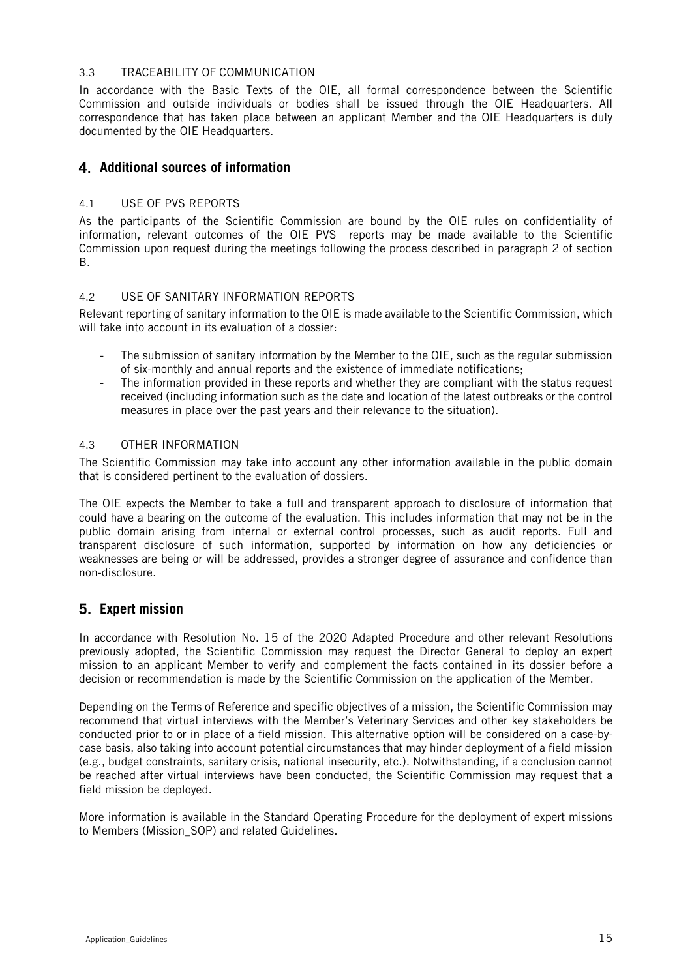#### 3.3 TRACEABILITY OF COMMUNICATION

In accordance with the Basic Texts of the OIE, all formal correspondence between the Scientific Commission and outside individuals or bodies shall be issued through the OIE Headquarters. All correspondence that has taken place between an applicant Member and the OIE Headquarters is duly documented by the OIE Headquarters.

## **Additional sources of information**

## 4.1 USE OF PVS REPORTS

As the participants of the Scientific Commission are bound by the OIE rules on confidentiality of information, relevant outcomes of the OIE PVS reports may be made available to the Scientific Commission upon request during the meetings following the process described in paragraph 2 of section B.

### 4.2 USE OF SANITARY INFORMATION REPORTS

Relevant reporting of sanitary information to the OIE is made available to the Scientific Commission, which will take into account in its evaluation of a dossier:

- The submission of sanitary information by the Member to the OIE, such as the regular submission of six-monthly and annual reports and the existence of immediate notifications;
- The information provided in these reports and whether they are compliant with the status request received (including information such as the date and location of the latest outbreaks or the control measures in place over the past years and their relevance to the situation).

### 4.3 OTHER INFORMATION

The Scientific Commission may take into account any other information available in the public domain that is considered pertinent to the evaluation of dossiers.

The OIE expects the Member to take a full and transparent approach to disclosure of information that could have a bearing on the outcome of the evaluation. This includes information that may not be in the public domain arising from internal or external control processes, such as audit reports. Full and transparent disclosure of such information, supported by information on how any deficiencies or weaknesses are being or will be addressed, provides a stronger degree of assurance and confidence than non-disclosure.

## **Expert mission**

In accordance with Resolution No. 15 of the 2020 Adapted Procedure and other relevant Resolutions previously adopted, the Scientific Commission may request the Director General to deploy an expert mission to an applicant Member to verify and complement the facts contained in its dossier before a decision or recommendation is made by the Scientific Commission on the application of the Member.

Depending on the Terms of Reference and specific objectives of a mission, the Scientific Commission may recommend that virtual interviews with the Member's Veterinary Services and other key stakeholders be conducted prior to or in place of a field mission. This alternative option will be considered on a case-bycase basis, also taking into account potential circumstances that may hinder deployment of a field mission (e.g., budget constraints, sanitary crisis, national insecurity, etc.). Notwithstanding, if a conclusion cannot be reached after virtual interviews have been conducted, the Scientific Commission may request that a field mission be deployed.

More information is available in the Standard Operating Procedure for the deployment of expert missions to Members (Mission\_SOP) and related Guidelines.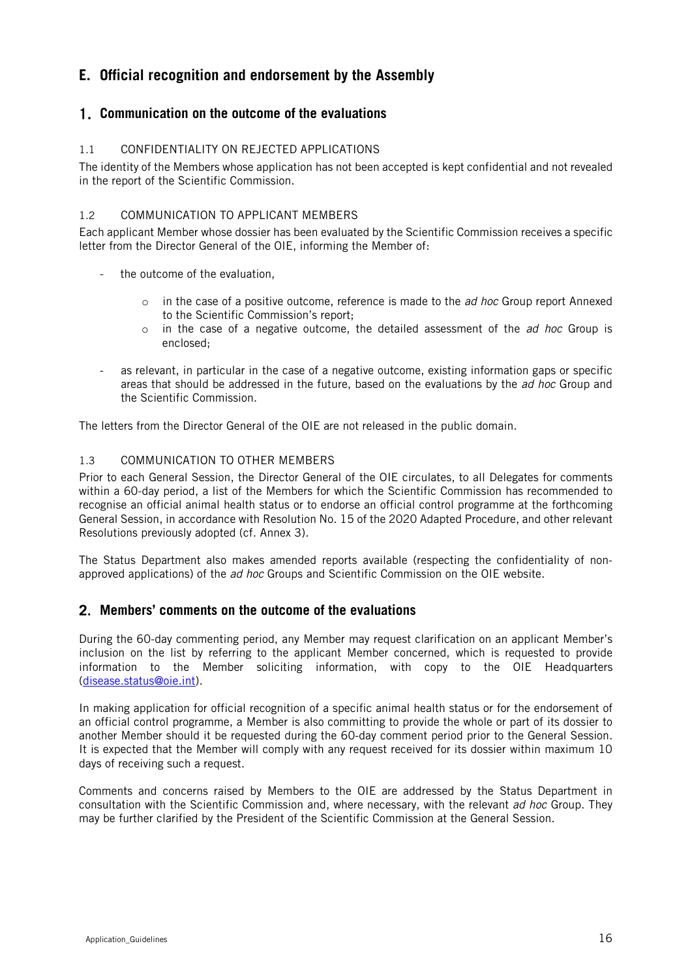## **E. Official recognition and endorsement by the Assembly**

## **Communication on the outcome of the evaluations**

## 1.1 CONFIDENTIALITY ON REJECTED APPLICATIONS

The identity of the Members whose application has not been accepted is kept confidential and not revealed in the report of the Scientific Commission.

## 1.2 COMMUNICATION TO APPLICANT MEMBERS

Each applicant Member whose dossier has been evaluated by the Scientific Commission receives a specific letter from the Director General of the OIE, informing the Member of:

- the outcome of the evaluation,
	- $\circ$  in the case of a positive outcome, reference is made to the *ad hoc* Group report Annexed to the Scientific Commission's report;
	- $\circ$  in the case of a negative outcome, the detailed assessment of the *ad hoc* Group is enclosed;
- as relevant, in particular in the case of a negative outcome, existing information gaps or specific areas that should be addressed in the future, based on the evaluations by the *ad hoc* Group and the Scientific Commission.

The letters from the Director General of the OIE are not released in the public domain.

## 1.3 COMMUNICATION TO OTHER MEMBERS

Prior to each General Session, the Director General of the OIE circulates, to all Delegates for comments within a 60-day period, a list of the Members for which the Scientific Commission has recommended to recognise an official animal health status or to endorse an official control programme at the forthcoming General Session, in accordance with Resolution No. 15 of the 2020 Adapted Procedure, and other relevant Resolutions previously adopted (cf. Annex 3).

The Status Department also makes amended reports available (respecting the confidentiality of nonapproved applications) of the ad hoc Groups and Scientific Commission on the OIE website.

## **Members' comments on the outcome of the evaluations**

During the 60-day commenting period, any Member may request clarification on an applicant Member's inclusion on the list by referring to the applicant Member concerned, which is requested to provide information to the Member soliciting information, with copy to the OIE Headquarters [\(disease.status@oie.int\)](mailto:disease.status@oie.int).

In making application for official recognition of a specific animal health status or for the endorsement of an official control programme, a Member is also committing to provide the whole or part of its dossier to another Member should it be requested during the 60-day comment period prior to the General Session. It is expected that the Member will comply with any request received for its dossier within maximum 10 days of receiving such a request.

Comments and concerns raised by Members to the OIE are addressed by the Status Department in consultation with the Scientific Commission and, where necessary, with the relevant ad hoc Group. They may be further clarified by the President of the Scientific Commission at the General Session.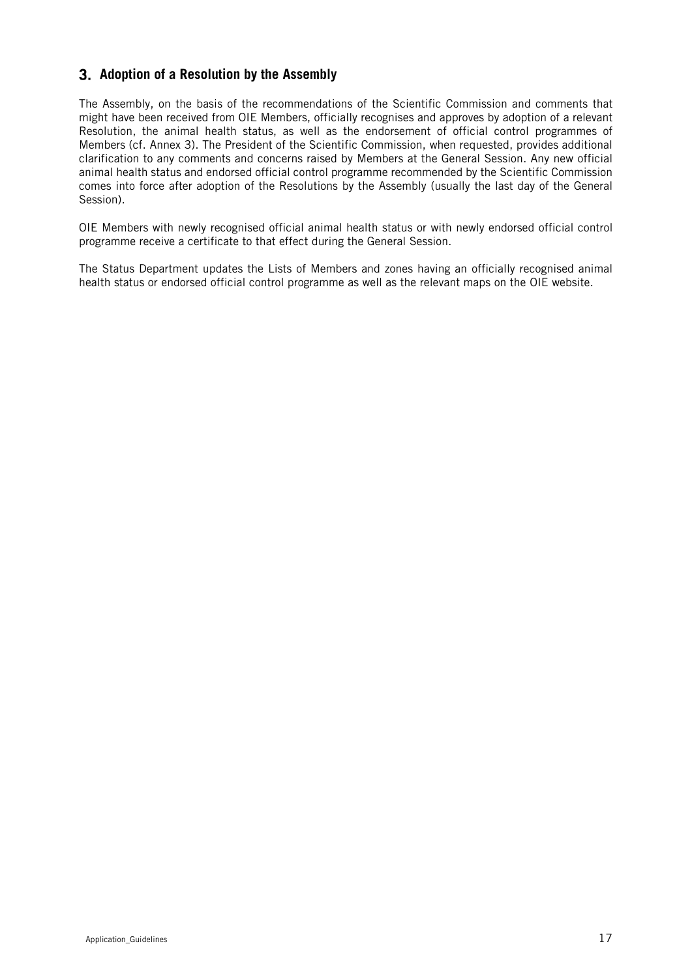## **Adoption of a Resolution by the Assembly**

The Assembly, on the basis of the recommendations of the Scientific Commission and comments that might have been received from OIE Members, officially recognises and approves by adoption of a relevant Resolution, the animal health status, as well as the endorsement of official control programmes of Members (cf. Annex 3). The President of the Scientific Commission, when requested, provides additional clarification to any comments and concerns raised by Members at the General Session. Any new official animal health status and endorsed official control programme recommended by the Scientific Commission comes into force after adoption of the Resolutions by the Assembly (usually the last day of the General Session).

OIE Members with newly recognised official animal health status or with newly endorsed official control programme receive a certificate to that effect during the General Session.

The Status Department updates the Lists of Members and zones having an officially recognised animal health status or endorsed official control programme as well as the relevant maps on the OIE website.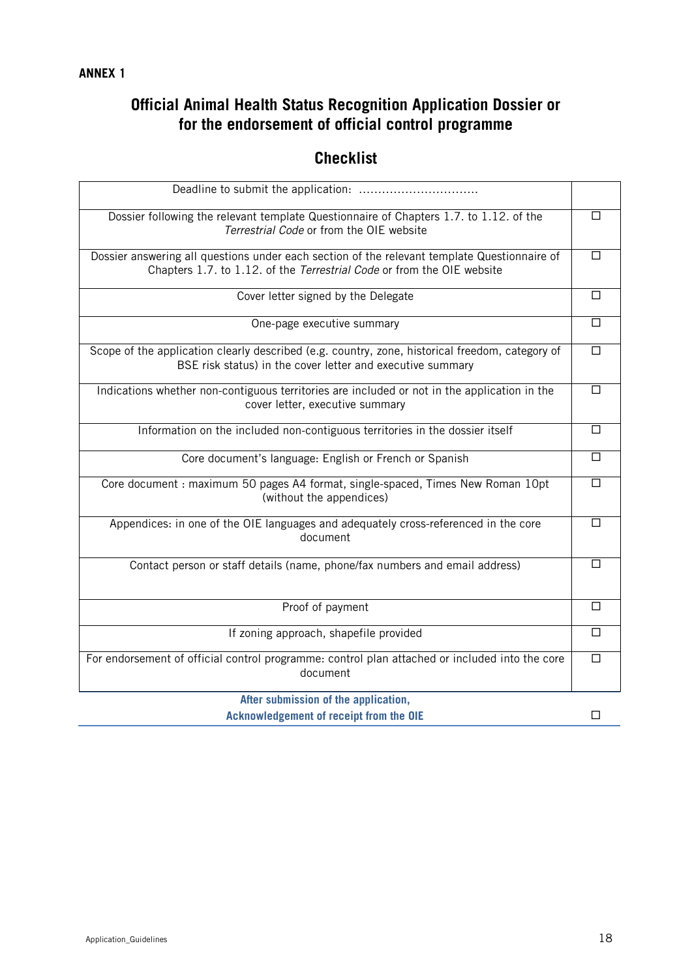# **Official Animal Health Status Recognition Application Dossier or for the endorsement of official control programme**

## **Checklist**

| Dossier following the relevant template Questionnaire of Chapters 1.7. to 1.12. of the<br>Terrestrial Code or from the OIE website                                     | П |
|------------------------------------------------------------------------------------------------------------------------------------------------------------------------|---|
| Dossier answering all questions under each section of the relevant template Questionnaire of<br>Chapters 1.7. to 1.12. of the Terrestrial Code or from the OIE website | П |
| Cover letter signed by the Delegate                                                                                                                                    | П |
| One-page executive summary                                                                                                                                             | П |
| Scope of the application clearly described (e.g. country, zone, historical freedom, category of<br>BSE risk status) in the cover letter and executive summary          | П |
| Indications whether non-contiguous territories are included or not in the application in the<br>cover letter, executive summary                                        | П |
| Information on the included non-contiguous territories in the dossier itself                                                                                           | П |
| Core document's language: English or French or Spanish                                                                                                                 | □ |
| Core document : maximum 50 pages A4 format, single-spaced, Times New Roman 10pt<br>(without the appendices)                                                            | П |
| Appendices: in one of the OIE languages and adequately cross-referenced in the core<br>document                                                                        | □ |
| Contact person or staff details (name, phone/fax numbers and email address)                                                                                            | П |
| Proof of payment                                                                                                                                                       | П |
| If zoning approach, shapefile provided                                                                                                                                 | П |
| For endorsement of official control programme: control plan attached or included into the core<br>document                                                             | П |
| After submission of the application,                                                                                                                                   |   |
| <b>Acknowledgement of receipt from the OIE</b>                                                                                                                         | П |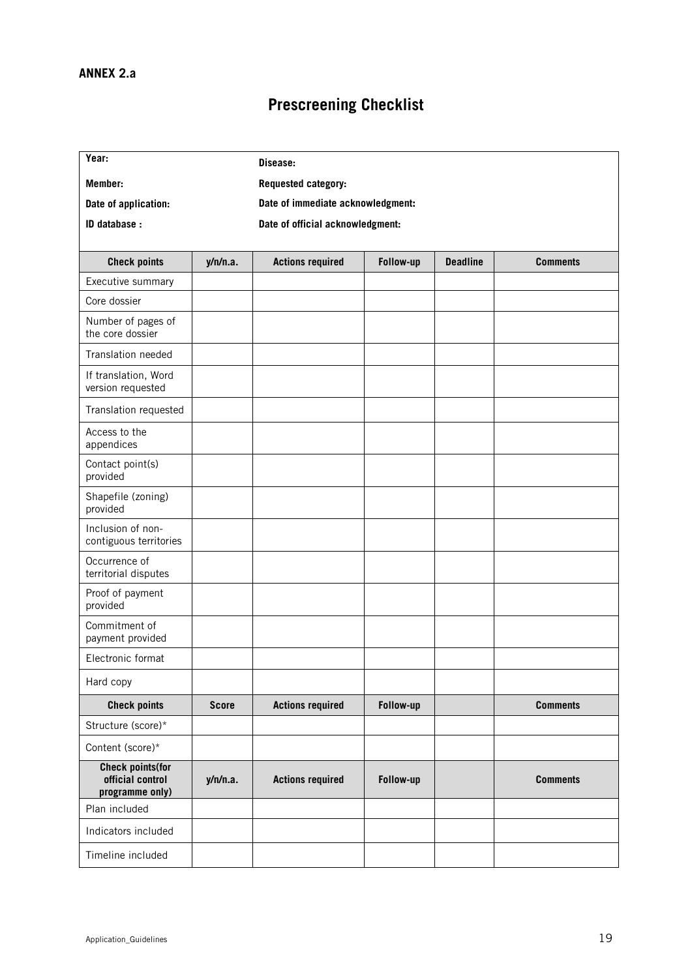# **Prescreening Checklist**

| Year:                                                          |              | Disease:                         |                                   |                 |                 |  |  |
|----------------------------------------------------------------|--------------|----------------------------------|-----------------------------------|-----------------|-----------------|--|--|
| Member:                                                        |              | Requested category:              |                                   |                 |                 |  |  |
| Date of application:                                           |              |                                  | Date of immediate acknowledgment: |                 |                 |  |  |
| ID database :                                                  |              | Date of official acknowledgment: |                                   |                 |                 |  |  |
|                                                                |              |                                  |                                   |                 |                 |  |  |
| <b>Check points</b>                                            | y/n/n.a.     | <b>Actions required</b>          | Follow-up                         | <b>Deadline</b> | <b>Comments</b> |  |  |
| Executive summary                                              |              |                                  |                                   |                 |                 |  |  |
| Core dossier                                                   |              |                                  |                                   |                 |                 |  |  |
| Number of pages of<br>the core dossier                         |              |                                  |                                   |                 |                 |  |  |
| Translation needed                                             |              |                                  |                                   |                 |                 |  |  |
| If translation, Word<br>version requested                      |              |                                  |                                   |                 |                 |  |  |
| Translation requested                                          |              |                                  |                                   |                 |                 |  |  |
| Access to the<br>appendices                                    |              |                                  |                                   |                 |                 |  |  |
| Contact point(s)<br>provided                                   |              |                                  |                                   |                 |                 |  |  |
| Shapefile (zoning)<br>provided                                 |              |                                  |                                   |                 |                 |  |  |
| Inclusion of non-<br>contiguous territories                    |              |                                  |                                   |                 |                 |  |  |
| Occurrence of<br>territorial disputes                          |              |                                  |                                   |                 |                 |  |  |
| Proof of payment<br>provided                                   |              |                                  |                                   |                 |                 |  |  |
| Commitment of<br>payment provided                              |              |                                  |                                   |                 |                 |  |  |
| Electronic format                                              |              |                                  |                                   |                 |                 |  |  |
| Hard copy                                                      |              |                                  |                                   |                 |                 |  |  |
| <b>Check points</b>                                            | <b>Score</b> | <b>Actions required</b>          | Follow-up                         |                 | <b>Comments</b> |  |  |
| Structure (score)*                                             |              |                                  |                                   |                 |                 |  |  |
| Content (score)*                                               |              |                                  |                                   |                 |                 |  |  |
| <b>Check points(for</b><br>official control<br>programme only) | y/n/n.a.     | <b>Actions required</b>          | Follow-up                         |                 | <b>Comments</b> |  |  |
| Plan included                                                  |              |                                  |                                   |                 |                 |  |  |
| Indicators included                                            |              |                                  |                                   |                 |                 |  |  |
| Timeline included                                              |              |                                  |                                   |                 |                 |  |  |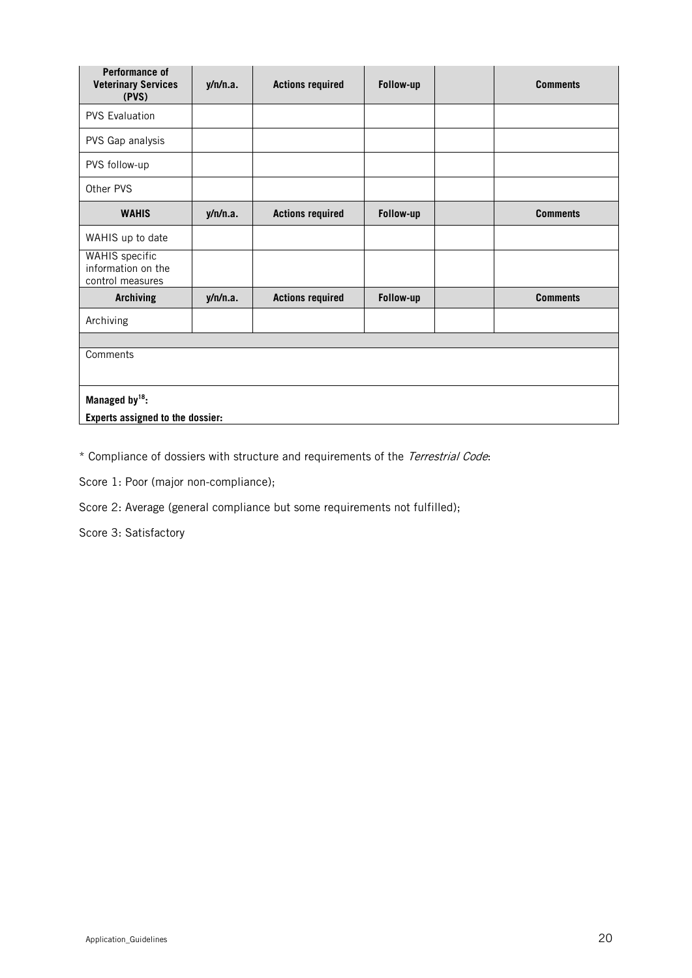| Performance of<br><b>Veterinary Services</b><br>(PVS)           | y/n/n.a. | <b>Actions required</b> | Follow-up | <b>Comments</b> |  |
|-----------------------------------------------------------------|----------|-------------------------|-----------|-----------------|--|
| <b>PVS Evaluation</b>                                           |          |                         |           |                 |  |
| PVS Gap analysis                                                |          |                         |           |                 |  |
| PVS follow-up                                                   |          |                         |           |                 |  |
| Other PVS                                                       |          |                         |           |                 |  |
| <b>WAHIS</b>                                                    | y/n/n.a. | <b>Actions required</b> | Follow-up | <b>Comments</b> |  |
| WAHIS up to date                                                |          |                         |           |                 |  |
| <b>WAHIS</b> specific<br>information on the<br>control measures |          |                         |           |                 |  |
| <b>Archiving</b>                                                | y/n/n.a. | <b>Actions required</b> | Follow-up | <b>Comments</b> |  |
| Archiving                                                       |          |                         |           |                 |  |
|                                                                 |          |                         |           |                 |  |
| Comments                                                        |          |                         |           |                 |  |
| Managed by <sup>18</sup> :                                      |          |                         |           |                 |  |
| Experts assigned to the dossier:                                |          |                         |           |                 |  |

\* Compliance of dossiers with structure and requirements of the Terrestrial Code:

Score 1: Poor (major non-compliance);

Score 2: Average (general compliance but some requirements not fulfilled);

Score 3: Satisfactory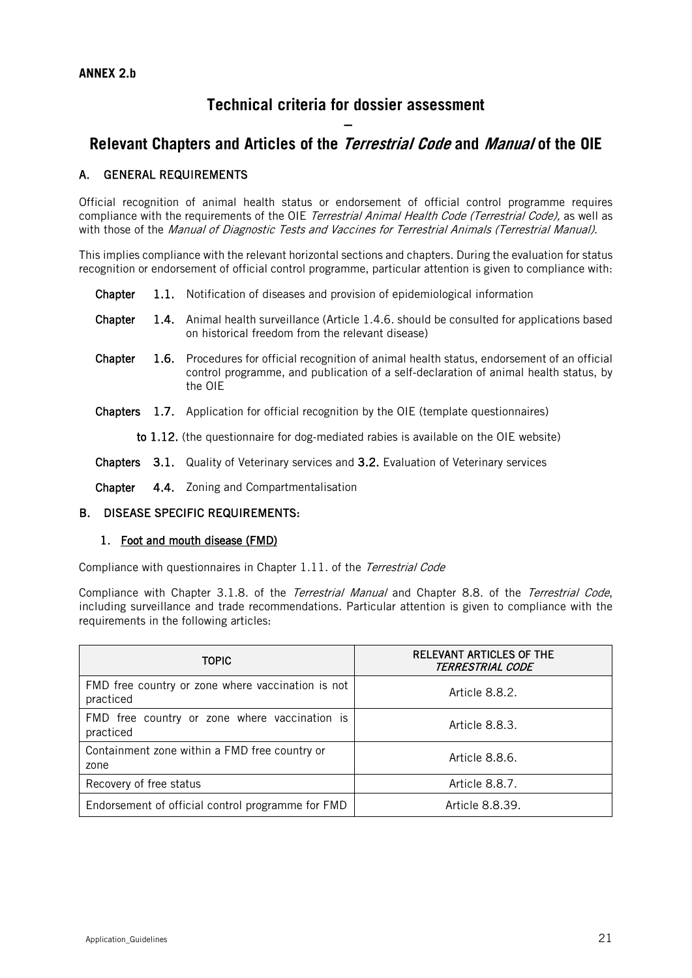## **Technical criteria for dossier assessment**

## **– Relevant Chapters and Articles of the Terrestrial Code and Manual of the OIE**

## A. GENERAL REQUIREMENTS

Official recognition of animal health status or endorsement of official control programme requires compliance with the requirements of the OIE Terrestrial Animal Health Code (Terrestrial Code), as well as with those of the Manual of Diagnostic Tests and Vaccines for Terrestrial Animals (Terrestrial Manual).

This implies compliance with the relevant horizontal sections and chapters. During the evaluation for status recognition or endorsement of official control programme, particular attention is given to compliance with:

- Chapter 1.1. Notification of diseases and provision of epidemiological information
- Chapter 1.4. Animal health surveillance (Article 1.4.6. should be consulted for applications based on historical freedom from the relevant disease)
- Chapter 1.6. Procedures for official recognition of animal health status, endorsement of an official control programme, and publication of a self-declaration of animal health status, by the OIE
- Chapters 1.7. Application for official recognition by the OIE (template questionnaires)

to 1.12. (the questionnaire for dog-mediated rabies is available on the OIE website)

- Chapters 3.1. Quality of Veterinary services and 3.2. Evaluation of Veterinary services
- Chapter 4.4. Zoning and Compartmentalisation

### B. DISEASE SPECIFIC REQUIREMENTS:

### 1. Foot and mouth disease (FMD)

Compliance with questionnaires in Chapter 1.11. of the Terrestrial Code

Compliance with Chapter 3.1.8. of the *Terrestrial Manual* and Chapter 8.8. of the *Terrestrial Code*, including surveillance and trade recommendations. Particular attention is given to compliance with the requirements in the following articles:

| <b>TOPIC</b>                                                   | RELEVANT ARTICLES OF THE<br><i><b>TERRESTRIAL CODE</b></i> |
|----------------------------------------------------------------|------------------------------------------------------------|
| FMD free country or zone where vaccination is not<br>practiced | Article 8.8.2.                                             |
| FMD free country or zone where vaccination is<br>practiced     | Article 8.8.3.                                             |
| Containment zone within a FMD free country or<br>zone          | Article 8.8.6.                                             |
| Recovery of free status                                        | Article 8.8.7.                                             |
| Endorsement of official control programme for FMD              | Article 8.8.39.                                            |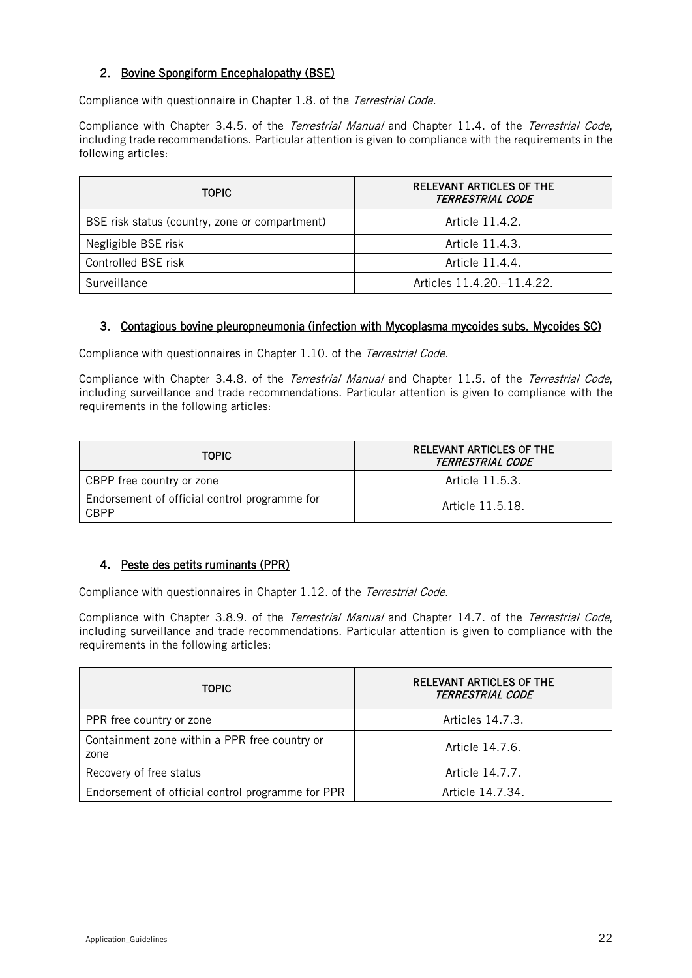## 2. Bovine Spongiform Encephalopathy (BSE)

Compliance with questionnaire in Chapter 1.8. of the Terrestrial Code.

Compliance with Chapter 3.4.5. of the Terrestrial Manual and Chapter 11.4. of the Terrestrial Code, including trade recommendations. Particular attention is given to compliance with the requirements in the following articles:

| <b>TOPIC</b>                                   | <b>RELEVANT ARTICLES OF THE</b><br>TERRESTRIAL CODE |
|------------------------------------------------|-----------------------------------------------------|
| BSE risk status (country, zone or compartment) | Article 11.4.2.                                     |
| Negligible BSE risk                            | Article 11.4.3.                                     |
| Controlled BSE risk                            | Article 11.4.4.                                     |
| Surveillance                                   | Articles 11.4.20.–11.4.22.                          |

## 3. Contagious bovine pleuropneumonia (infection with Mycoplasma mycoides subs. Mycoides SC)

Compliance with questionnaires in Chapter 1.10. of the Terrestrial Code.

Compliance with Chapter 3.4.8. of the Terrestrial Manual and Chapter 11.5. of the Terrestrial Code, including surveillance and trade recommendations. Particular attention is given to compliance with the requirements in the following articles:

| <b>TOPIC</b>                                          | RELEVANT ARTICLES OF THE<br>TERRESTRIAL CODE |
|-------------------------------------------------------|----------------------------------------------|
| CBPP free country or zone                             | Article 11.5.3.                              |
| Endorsement of official control programme for<br>CBPP | Article 11.5.18.                             |

## 4. Peste des petits ruminants (PPR)

Compliance with questionnaires in Chapter 1.12. of the Terrestrial Code.

Compliance with Chapter 3.8.9. of the Terrestrial Manual and Chapter 14.7. of the Terrestrial Code, including surveillance and trade recommendations. Particular attention is given to compliance with the requirements in the following articles:

| <b>TOPIC</b>                                          | <b>RELEVANT ARTICLES OF THE</b><br><b>TERRESTRIAL CODE</b> |
|-------------------------------------------------------|------------------------------------------------------------|
| PPR free country or zone                              | Articles 14.7.3.                                           |
| Containment zone within a PPR free country or<br>zone | Article 14.7.6.                                            |
| Recovery of free status                               | Article 14.7.7.                                            |
| Endorsement of official control programme for PPR     | Article 14.7.34.                                           |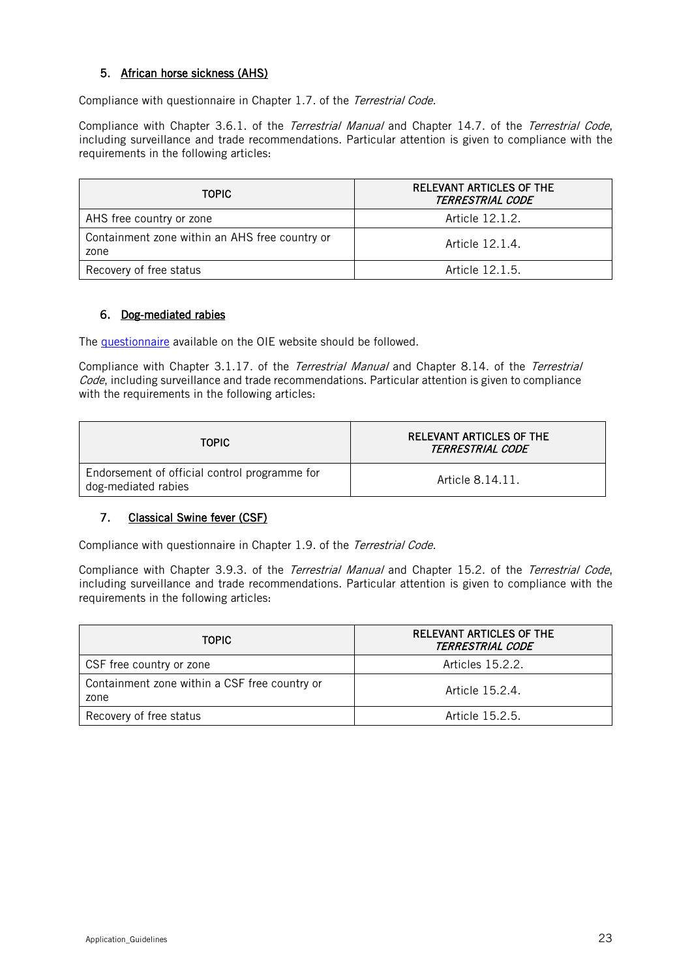## 5. African horse sickness (AHS)

Compliance with questionnaire in Chapter 1.7. of the Terrestrial Code.

Compliance with Chapter 3.6.1. of the *Terrestrial Manual* and Chapter 14.7. of the *Terrestrial Code*, including surveillance and trade recommendations. Particular attention is given to compliance with the requirements in the following articles:

| <b>TOPIC</b>                                           | RELEVANT ARTICLES OF THE<br>TERRESTRIAL CODE |
|--------------------------------------------------------|----------------------------------------------|
| AHS free country or zone                               | Article 12.1.2.                              |
| Containment zone within an AHS free country or<br>zone | Article 12.1.4.                              |
| Recovery of free status                                | Article 12.1.5.                              |

## 6. Dog-mediated rabies

The [questionnaire](https://www.oie.int/app/uploads/2021/05/a-questionnaire-dog-mediated-rabies.docx) available on the OIE website should be followed.

Compliance with Chapter 3.1.17. of the Terrestrial Manual and Chapter 8.14. of the Terrestrial Code, including surveillance and trade recommendations. Particular attention is given to compliance with the requirements in the following articles:

| <b>TOPIC</b>                                                         | <b>RELEVANT ARTICLES OF THE</b><br><i>TERRESTRIAL CODE</i> |
|----------------------------------------------------------------------|------------------------------------------------------------|
| Endorsement of official control programme for<br>dog-mediated rabies | Article 8.14.11.                                           |

## 7. Classical Swine fever (CSF)

Compliance with questionnaire in Chapter 1.9. of the Terrestrial Code.

Compliance with Chapter 3.9.3. of the *Terrestrial Manual* and Chapter 15.2. of the *Terrestrial Code*, including surveillance and trade recommendations. Particular attention is given to compliance with the requirements in the following articles:

| <b>TOPIC</b>                                          | <b>RELEVANT ARTICLES OF THE</b><br>TERRESTRIAL CODE |
|-------------------------------------------------------|-----------------------------------------------------|
| CSF free country or zone                              | Articles 15.2.2.                                    |
| Containment zone within a CSF free country or<br>zone | Article 15.2.4.                                     |
| Recovery of free status                               | Article 15.2.5.                                     |